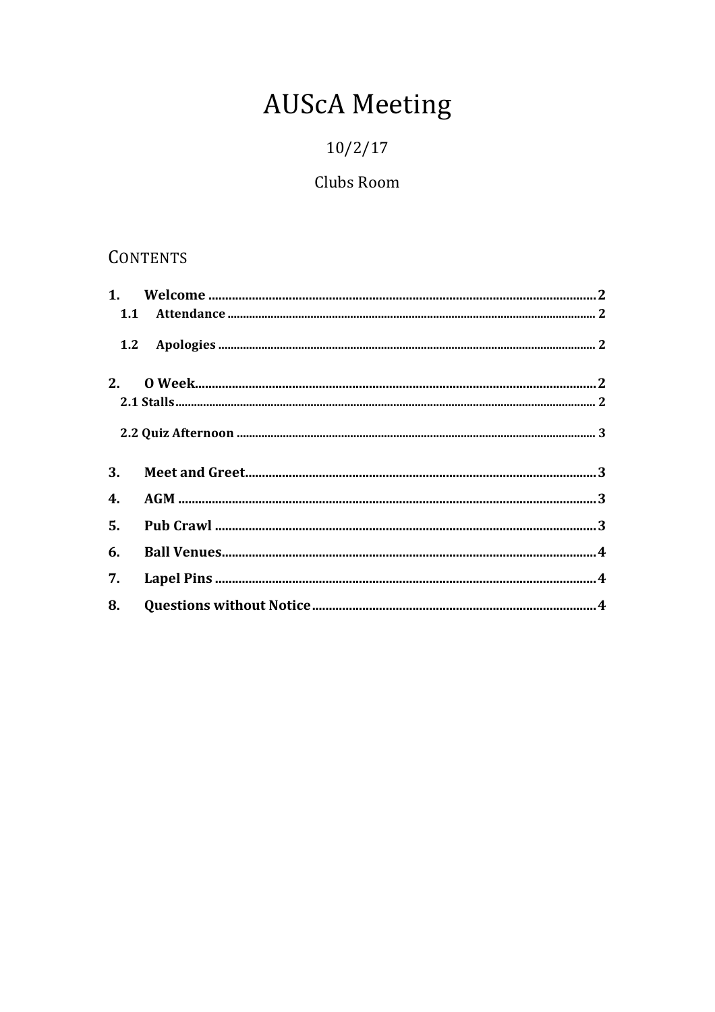# **AUScA Meeting**

## $10/2/17$

## Clubs Room

## CONTENTS

| 1.2 |  |
|-----|--|
|     |  |
|     |  |
|     |  |
| 3.  |  |
| 4.  |  |
|     |  |
| 6.  |  |
| 7.  |  |
|     |  |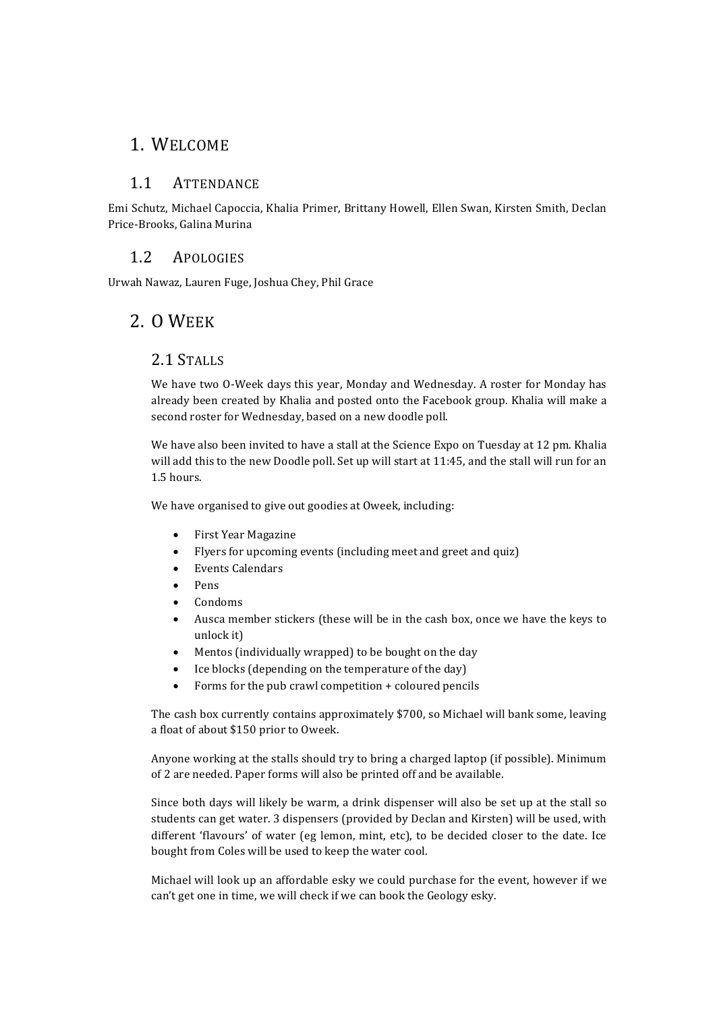#### 1. WELCOME

#### 1.1 ATTENDANCE

Emi Schutz, Michael Capoccia, Khalia Primer, Brittany Howell, Ellen Swan, Kirsten Smith, Declan Price-Brooks, Galina Murina

#### 1.2 APOLOGIES

Urwah Nawaz, Lauren Fuge, Joshua Chey, Phil Grace

### 2. O WEEK

#### 2.1 STALLS

We have two O-Week days this year, Monday and Wednesday. A roster for Monday has already been created by Khalia and posted onto the Facebook group. Khalia will make a second roster for Wednesday, based on a new doodle poll.

We have also been invited to have a stall at the Science Expo on Tuesday at 12 pm. Khalia will add this to the new Doodle poll. Set up will start at 11:45, and the stall will run for an 1.5 hours. 

We have organised to give out goodies at Oweek, including:

- First Year Magazine
- Flyers for upcoming events (including meet and greet and quiz)
- Events Calendars
- Pens
- Condoms
- Ausca member stickers (these will be in the cash box, once we have the keys to unlock it)
- Mentos (individually wrapped) to be bought on the day
- Ice blocks (depending on the temperature of the day)
- Forms for the pub crawl competition  $+$  coloured pencils

The cash box currently contains approximately \$700, so Michael will bank some, leaving a float of about \$150 prior to Oweek.

Anyone working at the stalls should try to bring a charged laptop (if possible). Minimum of 2 are needed. Paper forms will also be printed off and be available.

Since both days will likely be warm, a drink dispenser will also be set up at the stall so students can get water. 3 dispensers (provided by Declan and Kirsten) will be used, with different 'flavours' of water (eg lemon, mint, etc), to be decided closer to the date. Ice bought from Coles will be used to keep the water cool.

Michael will look up an affordable esky we could purchase for the event, however if we can't get one in time, we will check if we can book the Geology esky.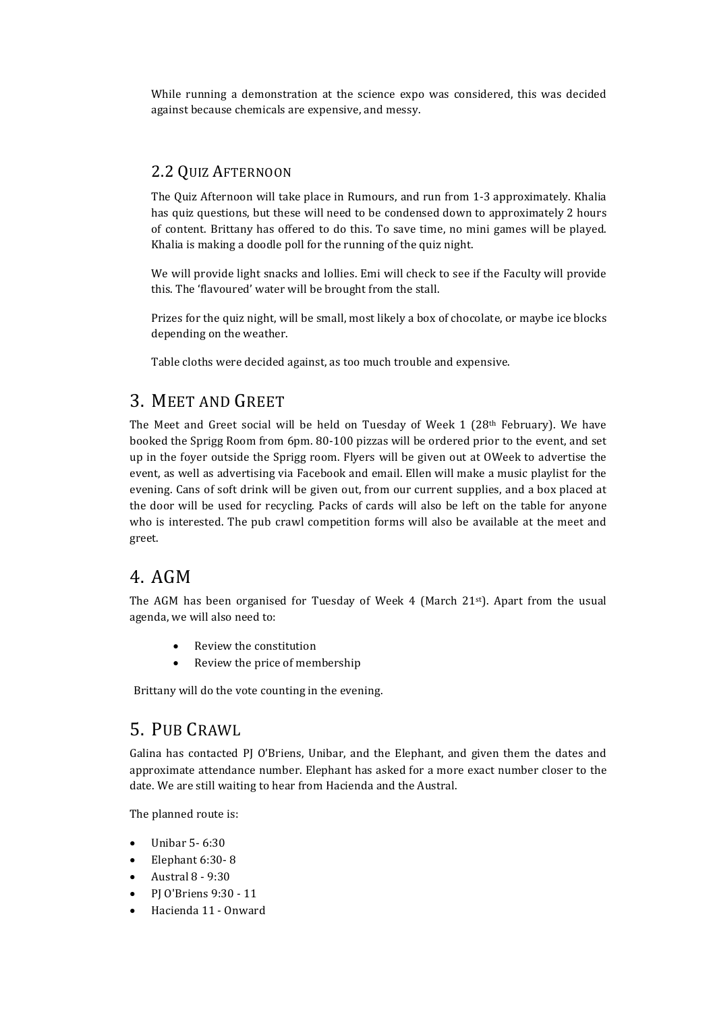While running a demonstration at the science expo was considered, this was decided against because chemicals are expensive, and messy.

#### 2.2 QUIZ AFTERNOON

The Quiz Afternoon will take place in Rumours, and run from 1-3 approximately. Khalia has quiz questions, but these will need to be condensed down to approximately 2 hours of content. Brittany has offered to do this. To save time, no mini games will be played. Khalia is making a doodle poll for the running of the quiz night.

We will provide light snacks and lollies. Emi will check to see if the Faculty will provide this. The 'flavoured' water will be brought from the stall.

Prizes for the quiz night, will be small, most likely a box of chocolate, or maybe ice blocks depending on the weather.

Table cloths were decided against, as too much trouble and expensive.

#### 3. MEET AND GREET

The Meet and Greet social will be held on Tuesday of Week 1 (28<sup>th</sup> February). We have booked the Sprigg Room from 6pm. 80-100 pizzas will be ordered prior to the event, and set up in the foyer outside the Sprigg room. Flyers will be given out at OWeek to advertise the event, as well as advertising via Facebook and email. Ellen will make a music playlist for the evening. Cans of soft drink will be given out, from our current supplies, and a box placed at the door will be used for recycling. Packs of cards will also be left on the table for anyone who is interested. The pub crawl competition forms will also be available at the meet and greet. 

### 4. AGM

The AGM has been organised for Tuesday of Week 4 (March 21 $st$ ). Apart from the usual agenda, we will also need to:

- Review the constitution
- Review the price of membership

Brittany will do the vote counting in the evening.

### 5. PUB CRAWL

Galina has contacted PJ O'Briens, Unibar, and the Elephant, and given them the dates and approximate attendance number. Elephant has asked for a more exact number closer to the date. We are still waiting to hear from Hacienda and the Austral.

The planned route is:

- Unibar 5- 6:30
- Elephant 6:30-8
- Austral 8 - 9:30
- PJ O'Briens 9:30 - 11
- Hacienda 11 Onward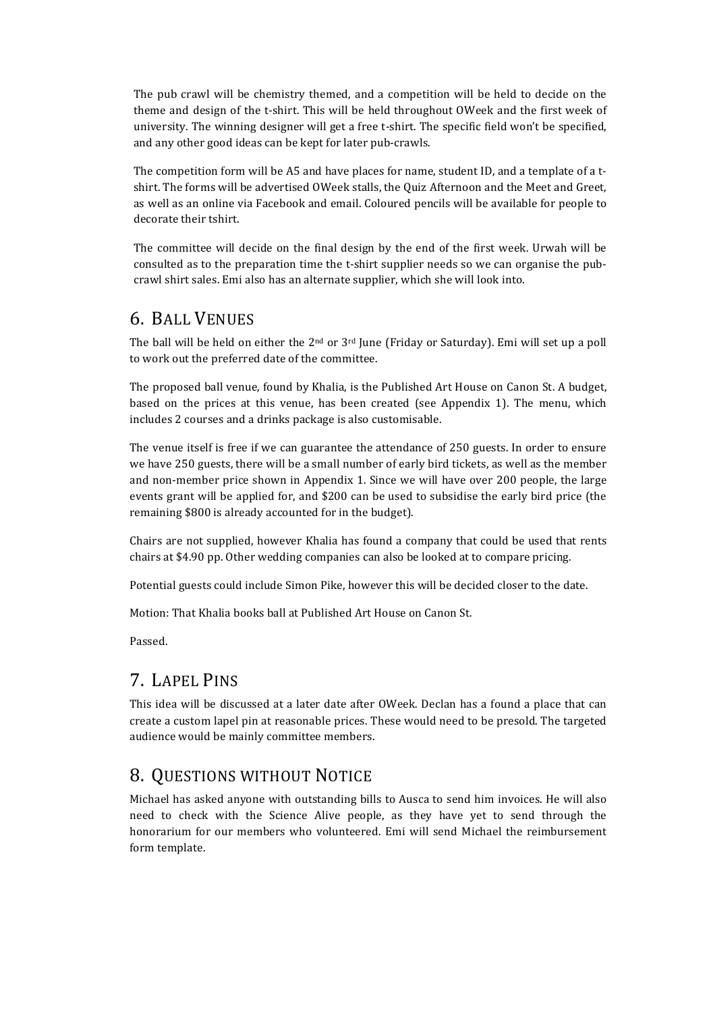The pub crawl will be chemistry themed, and a competition will be held to decide on the theme and design of the t-shirt. This will be held throughout OWeek and the first week of university. The winning designer will get a free t-shirt. The specific field won't be specified, and any other good ideas can be kept for later pub-crawls.

The competition form will be A5 and have places for name, student ID, and a template of a tshirt. The forms will be advertised OWeek stalls, the Quiz Afternoon and the Meet and Greet, as well as an online via Facebook and email. Coloured pencils will be available for people to decorate their tshirt.

The committee will decide on the final design by the end of the first week. Urwah will be consulted as to the preparation time the t-shirt supplier needs so we can organise the pubcrawl shirt sales. Emi also has an alternate supplier, which she will look into.

#### 6. BALL VENUES

The ball will be held on either the  $2<sup>nd</sup>$  or  $3<sup>rd</sup>$  June (Friday or Saturday). Emi will set up a poll to work out the preferred date of the committee.

The proposed ball venue, found by Khalia, is the Published Art House on Canon St. A budget, based on the prices at this venue, has been created (see Appendix 1). The menu, which includes 2 courses and a drinks package is also customisable.

The venue itself is free if we can guarantee the attendance of 250 guests. In order to ensure we have 250 guests, there will be a small number of early bird tickets, as well as the member and non-member price shown in Appendix 1. Since we will have over 200 people, the large events grant will be applied for, and \$200 can be used to subsidise the early bird price (the remaining \$800 is already accounted for in the budget).

Chairs are not supplied, however Khalia has found a company that could be used that rents chairs at \$4.90 pp. Other wedding companies can also be looked at to compare pricing.

Potential guests could include Simon Pike, however this will be decided closer to the date.

Motion: That Khalia books ball at Published Art House on Canon St.

Passed. 

## 7. LAPEL PINS

This idea will be discussed at a later date after OWeek. Declan has a found a place that can create a custom lapel pin at reasonable prices. These would need to be presold. The targeted audience would be mainly committee members.

## 8. QUESTIONS WITHOUT NOTICE

Michael has asked anyone with outstanding bills to Ausca to send him invoices. He will also need to check with the Science Alive people, as they have yet to send through the honorarium for our members who volunteered. Emi will send Michael the reimbursement form template.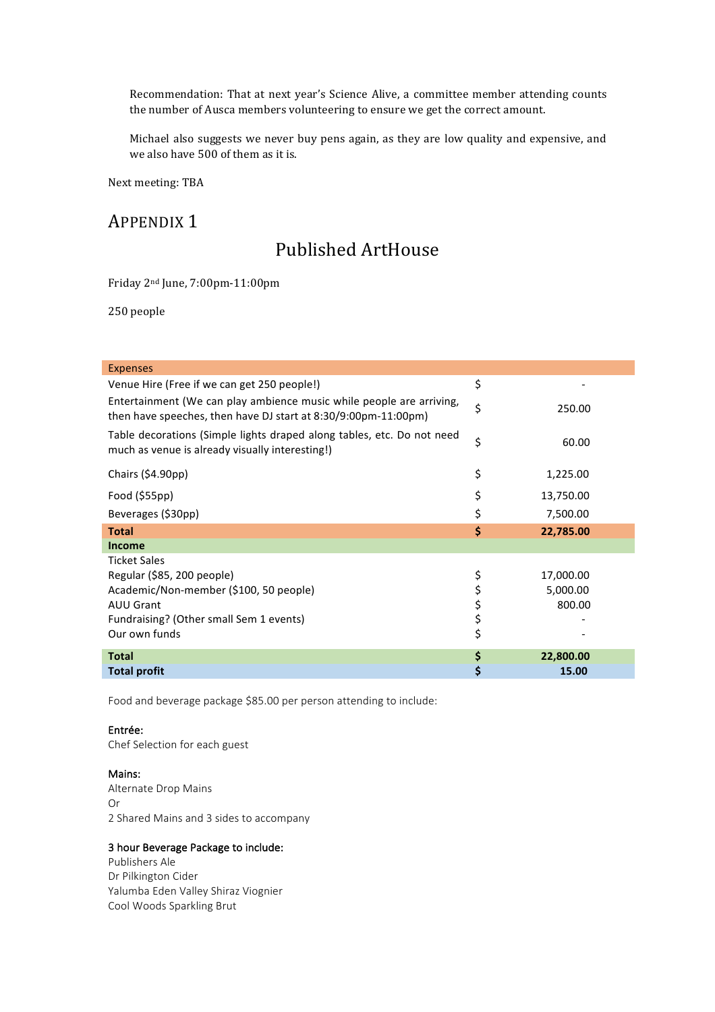Recommendation: That at next year's Science Alive, a committee member attending counts the number of Ausca members volunteering to ensure we get the correct amount.

Michael also suggests we never buy pens again, as they are low quality and expensive, and we also have 500 of them as it is.

Next meeting: TBA

### APPENDIX<sub>1</sub>

## Published ArtHouse

Friday 2nd June, 7:00pm-11:00pm

250 people

| <b>Expenses</b>                                                                                                                        |    |           |  |  |
|----------------------------------------------------------------------------------------------------------------------------------------|----|-----------|--|--|
| Venue Hire (Free if we can get 250 people!)                                                                                            |    |           |  |  |
| Entertainment (We can play ambience music while people are arriving,<br>then have speeches, then have DJ start at 8:30/9:00pm-11:00pm) |    | 250.00    |  |  |
| Table decorations (Simple lights draped along tables, etc. Do not need<br>much as venue is already visually interesting!)              |    | 60.00     |  |  |
| Chairs $(54.90pp)$                                                                                                                     | \$ | 1,225.00  |  |  |
| Food $(555pp)$                                                                                                                         | \$ | 13,750.00 |  |  |
| Beverages (\$30pp)                                                                                                                     | \$ | 7,500.00  |  |  |
| <b>Total</b>                                                                                                                           | \$ | 22,785.00 |  |  |
| <b>Income</b>                                                                                                                          |    |           |  |  |
| <b>Ticket Sales</b>                                                                                                                    |    |           |  |  |
| Regular (\$85, 200 people)                                                                                                             | \$ | 17,000.00 |  |  |
| Academic/Non-member (\$100, 50 people)                                                                                                 | \$ | 5,000.00  |  |  |
| <b>AUU Grant</b>                                                                                                                       | \$ | 800.00    |  |  |
| Fundraising? (Other small Sem 1 events)                                                                                                | \$ |           |  |  |
| Our own funds                                                                                                                          | \$ |           |  |  |
| <b>Total</b>                                                                                                                           | \$ | 22,800.00 |  |  |
| <b>Total profit</b>                                                                                                                    | \$ | 15.00     |  |  |

Food and beverage package \$85.00 per person attending to include:

#### Entrée:

Chef Selection for each guest

#### Mains:

Alternate Drop Mains Or 2 Shared Mains and 3 sides to accompany

#### 3 hour Beverage Package to include:

Publishers Ale Dr Pilkington Cider Yalumba Eden Valley Shiraz Viognier Cool Woods Sparkling Brut